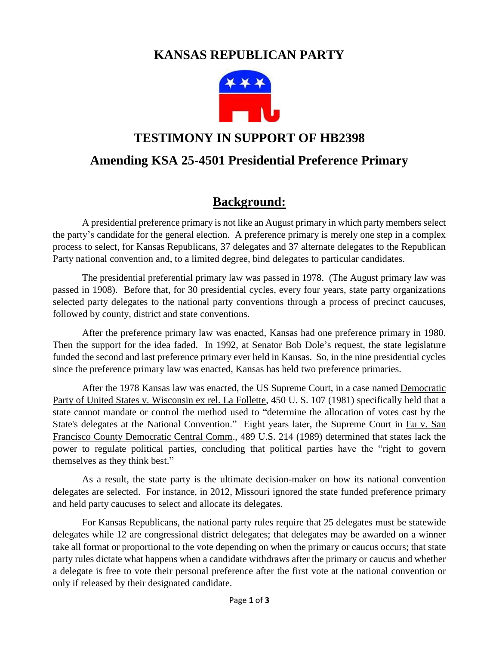# **KANSAS REPUBLICAN PARTY**



### **TESTIMONY IN SUPPORT OF HB2398**

#### **Amending KSA 25-4501 Presidential Preference Primary**

# **Background:**

A presidential preference primary is not like an August primary in which party members select the party's candidate for the general election. A preference primary is merely one step in a complex process to select, for Kansas Republicans, 37 delegates and 37 alternate delegates to the Republican Party national convention and, to a limited degree, bind delegates to particular candidates.

The presidential preferential primary law was passed in 1978. (The August primary law was passed in 1908). Before that, for 30 presidential cycles, every four years, state party organizations selected party delegates to the national party conventions through a process of precinct caucuses, followed by county, district and state conventions.

After the preference primary law was enacted, Kansas had one preference primary in 1980. Then the support for the idea faded. In 1992, at Senator Bob Dole's request, the state legislature funded the second and last preference primary ever held in Kansas. So, in the nine presidential cycles since the preference primary law was enacted, Kansas has held two preference primaries.

After the 1978 Kansas law was enacted, the US Supreme Court, in a case named Democratic Party of United States v. Wisconsin ex rel. La Follette, 450 U. S. 107 (1981) specifically held that a state cannot mandate or control the method used to "determine the allocation of votes cast by the State's delegates at the National Convention." Eight years later, the Supreme Court in Eu v. San Francisco County Democratic Central Comm., 489 U.S. 214 (1989) determined that states lack the power to regulate political parties, concluding that political parties have the "right to govern themselves as they think best."

As a result, the state party is the ultimate decision-maker on how its national convention delegates are selected. For instance, in 2012, Missouri ignored the state funded preference primary and held party caucuses to select and allocate its delegates.

For Kansas Republicans, the national party rules require that 25 delegates must be statewide delegates while 12 are congressional district delegates; that delegates may be awarded on a winner take all format or proportional to the vote depending on when the primary or caucus occurs; that state party rules dictate what happens when a candidate withdraws after the primary or caucus and whether a delegate is free to vote their personal preference after the first vote at the national convention or only if released by their designated candidate.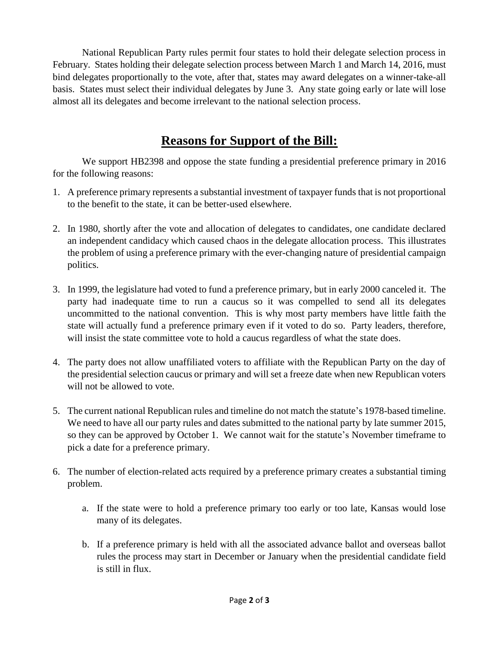National Republican Party rules permit four states to hold their delegate selection process in February. States holding their delegate selection process between March 1 and March 14, 2016, must bind delegates proportionally to the vote, after that, states may award delegates on a winner-take-all basis. States must select their individual delegates by June 3. Any state going early or late will lose almost all its delegates and become irrelevant to the national selection process.

# **Reasons for Support of the Bill:**

We support HB2398 and oppose the state funding a presidential preference primary in 2016 for the following reasons:

- 1. A preference primary represents a substantial investment of taxpayer funds that is not proportional to the benefit to the state, it can be better-used elsewhere.
- 2. In 1980, shortly after the vote and allocation of delegates to candidates, one candidate declared an independent candidacy which caused chaos in the delegate allocation process. This illustrates the problem of using a preference primary with the ever-changing nature of presidential campaign politics.
- 3. In 1999, the legislature had voted to fund a preference primary, but in early 2000 canceled it. The party had inadequate time to run a caucus so it was compelled to send all its delegates uncommitted to the national convention. This is why most party members have little faith the state will actually fund a preference primary even if it voted to do so. Party leaders, therefore, will insist the state committee vote to hold a caucus regardless of what the state does.
- 4. The party does not allow unaffiliated voters to affiliate with the Republican Party on the day of the presidential selection caucus or primary and will set a freeze date when new Republican voters will not be allowed to vote.
- 5. The current national Republican rules and timeline do not match the statute's 1978-based timeline. We need to have all our party rules and dates submitted to the national party by late summer 2015, so they can be approved by October 1. We cannot wait for the statute's November timeframe to pick a date for a preference primary.
- 6. The number of election-related acts required by a preference primary creates a substantial timing problem.
	- a. If the state were to hold a preference primary too early or too late, Kansas would lose many of its delegates.
	- b. If a preference primary is held with all the associated advance ballot and overseas ballot rules the process may start in December or January when the presidential candidate field is still in flux.